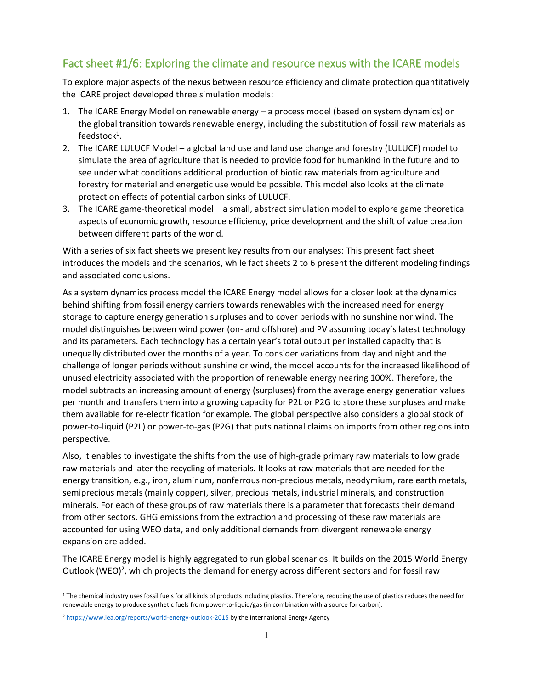## Fact sheet #1/6: Exploring the climate and resource nexus with the ICARE models

To explore major aspects of the nexus between resource efficiency and climate protection quantitatively the ICARE project developed three simulation models:

- 1. The ICARE Energy Model on renewable energy a process model (based on system dynamics) on the global transition towards renewable energy, including the substitution of fossil raw materials as  $feedback<sup>1</sup>.$
- 2. The ICARE LULUCF Model a global land use and land use change and forestry (LULUCF) model to simulate the area of agriculture that is needed to provide food for humankind in the future and to see under what conditions additional production of biotic raw materials from agriculture and forestry for material and energetic use would be possible. This model also looks at the climate protection effects of potential carbon sinks of LULUCF.
- 3. The ICARE game-theoretical model a small, abstract simulation model to explore game theoretical aspects of economic growth, resource efficiency, price development and the shift of value creation between different parts of the world.

With a series of six fact sheets we present key results from our analyses: This present fact sheet introduces the models and the scenarios, while fact sheets 2 to 6 present the different modeling findings and associated conclusions.

As a system dynamics process model the ICARE Energy model allows for a closer look at the dynamics behind shifting from fossil energy carriers towards renewables with the increased need for energy storage to capture energy generation surpluses and to cover periods with no sunshine nor wind. The model distinguishes between wind power (on- and offshore) and PV assuming today's latest technology and its parameters. Each technology has a certain year's total output per installed capacity that is unequally distributed over the months of a year. To consider variations from day and night and the challenge of longer periods without sunshine or wind, the model accounts for the increased likelihood of unused electricity associated with the proportion of renewable energy nearing 100%. Therefore, the model subtracts an increasing amount of energy (surpluses) from the average energy generation values per month and transfers them into a growing capacity for P2L or P2G to store these surpluses and make them available for re-electrification for example. The global perspective also considers a global stock of power-to-liquid (P2L) or power-to-gas (P2G) that puts national claims on imports from other regions into perspective.

Also, it enables to investigate the shifts from the use of high-grade primary raw materials to low grade raw materials and later the recycling of materials. It looks at raw materials that are needed for the energy transition, e.g., iron, aluminum, nonferrous non-precious metals, neodymium, rare earth metals, semiprecious metals (mainly copper), silver, precious metals, industrial minerals, and construction minerals. For each of these groups of raw materials there is a parameter that forecasts their demand from other sectors. GHG emissions from the extraction and processing of these raw materials are accounted for using WEO data, and only additional demands from divergent renewable energy expansion are added.

The ICARE Energy model is highly aggregated to run global scenarios. It builds on the 2015 World Energy Outlook (WEO)<sup>2</sup>, which projects the demand for energy across different sectors and for fossil raw

<sup>&</sup>lt;sup>1</sup> The chemical industry uses fossil fuels for all kinds of products including plastics. Therefore, reducing the use of plastics reduces the need for renewable energy to produce synthetic fuels from power-to-liquid/gas (in combination with a source for carbon).

<sup>&</sup>lt;sup>2</sup> <https://www.iea.org/reports/world-energy-outlook-2015> by the International Energy Agency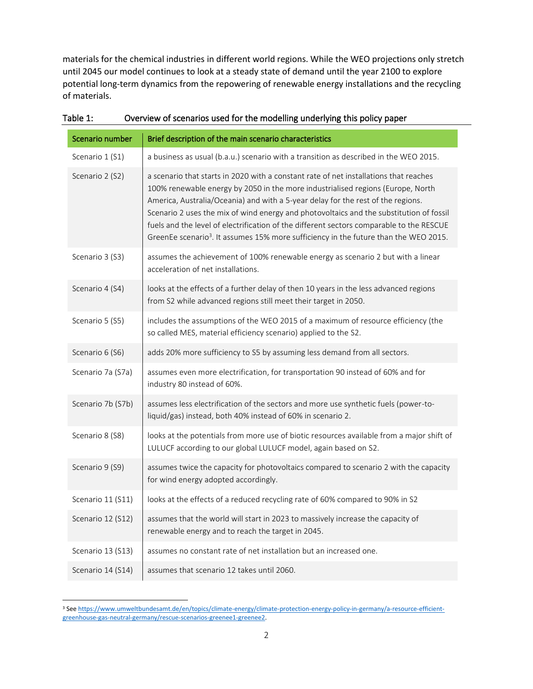materials for the chemical industries in different world regions. While the WEO projections only stretch until 2045 our model continues to look at a steady state of demand until the year 2100 to explore potential long-term dynamics from the repowering of renewable energy installations and the recycling of materials.

| Scenario number   | Brief description of the main scenario characteristics                                                                                                                                                                                                                                                                                                                                                                                                                                                                                                  |
|-------------------|---------------------------------------------------------------------------------------------------------------------------------------------------------------------------------------------------------------------------------------------------------------------------------------------------------------------------------------------------------------------------------------------------------------------------------------------------------------------------------------------------------------------------------------------------------|
| Scenario 1 (S1)   | a business as usual (b.a.u.) scenario with a transition as described in the WEO 2015.                                                                                                                                                                                                                                                                                                                                                                                                                                                                   |
| Scenario 2 (S2)   | a scenario that starts in 2020 with a constant rate of net installations that reaches<br>100% renewable energy by 2050 in the more industrialised regions (Europe, North<br>America, Australia/Oceania) and with a 5-year delay for the rest of the regions.<br>Scenario 2 uses the mix of wind energy and photovoltaics and the substitution of fossil<br>fuels and the level of electrification of the different sectors comparable to the RESCUE<br>GreenEe scenario <sup>3</sup> . It assumes 15% more sufficiency in the future than the WEO 2015. |
| Scenario 3 (S3)   | assumes the achievement of 100% renewable energy as scenario 2 but with a linear<br>acceleration of net installations.                                                                                                                                                                                                                                                                                                                                                                                                                                  |
| Scenario 4 (S4)   | looks at the effects of a further delay of then 10 years in the less advanced regions<br>from S2 while advanced regions still meet their target in 2050.                                                                                                                                                                                                                                                                                                                                                                                                |
| Scenario 5 (S5)   | includes the assumptions of the WEO 2015 of a maximum of resource efficiency (the<br>so called MES, material efficiency scenario) applied to the S2.                                                                                                                                                                                                                                                                                                                                                                                                    |
| Scenario 6 (S6)   | adds 20% more sufficiency to S5 by assuming less demand from all sectors.                                                                                                                                                                                                                                                                                                                                                                                                                                                                               |
| Scenario 7a (S7a) | assumes even more electrification, for transportation 90 instead of 60% and for<br>industry 80 instead of 60%.                                                                                                                                                                                                                                                                                                                                                                                                                                          |
| Scenario 7b (S7b) | assumes less electrification of the sectors and more use synthetic fuels (power-to-<br>liquid/gas) instead, both 40% instead of 60% in scenario 2.                                                                                                                                                                                                                                                                                                                                                                                                      |
| Scenario 8 (S8)   | looks at the potentials from more use of biotic resources available from a major shift of<br>LULUCF according to our global LULUCF model, again based on S2.                                                                                                                                                                                                                                                                                                                                                                                            |
| Scenario 9 (S9)   | assumes twice the capacity for photovoltaics compared to scenario 2 with the capacity<br>for wind energy adopted accordingly.                                                                                                                                                                                                                                                                                                                                                                                                                           |
| Scenario 11 (S11) | looks at the effects of a reduced recycling rate of 60% compared to 90% in S2                                                                                                                                                                                                                                                                                                                                                                                                                                                                           |
| Scenario 12 (S12) | assumes that the world will start in 2023 to massively increase the capacity of<br>renewable energy and to reach the target in 2045.                                                                                                                                                                                                                                                                                                                                                                                                                    |
| Scenario 13 (S13) | assumes no constant rate of net installation but an increased one.                                                                                                                                                                                                                                                                                                                                                                                                                                                                                      |
| Scenario 14 (S14) | assumes that scenario 12 takes until 2060.                                                                                                                                                                                                                                                                                                                                                                                                                                                                                                              |

| Table 1: | Overview of scenarios used for the modelling underlying this policy paper |
|----------|---------------------------------------------------------------------------|
|----------|---------------------------------------------------------------------------|

<sup>3</sup> See [https://www.umweltbundesamt.de/en/topics/climate-energy/climate-protection-energy-policy-in-germany/a-resource-efficient](https://www.umweltbundesamt.de/en/topics/climate-energy/climate-protection-energy-policy-in-germany/a-resource-efficient-greenhouse-gas-neutral-germany/rescue-scenarios-greenee1-greenee2)[greenhouse-gas-neutral-germany/rescue-scenarios-greenee1-greenee2.](https://www.umweltbundesamt.de/en/topics/climate-energy/climate-protection-energy-policy-in-germany/a-resource-efficient-greenhouse-gas-neutral-germany/rescue-scenarios-greenee1-greenee2)